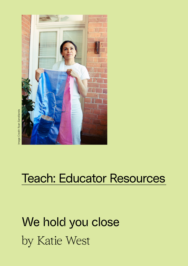

# Teach: Educator Resources

# We hold you close by Katie West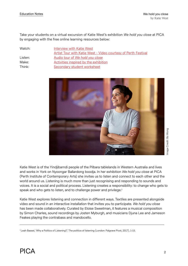Take your students on a virtual excursion of Katie West's exhibition *We hold you close* at PICA by engaging with the free online learning resources below:

Watch: [Interview with Katie West](https://www.youtube.com/watch?v=XvttVt9qBnQ)  [Artist Tour with Katie West - Video courtesy of Perth Festival](https://www.youtube.com/watch?v=XvttVt9qBnQ) Listen: Audio tour of *[We hold you close](https://soundcloud.com/picaperth)* Make: Make: [Activities inspired by the exhibition](https://pica.org.au/wp-content/uploads/2022/04/AllAgesActivity-P1.pdf) Think: [Secondary student worksheet](https://pica.org.au/wp-content/uploads/2022/05/P1-Ednotes2022-2-THINK.pdf)



Katie West is of the Yindjibarndi people of the Pilbara tablelands in Western Australia and lives and works in York on Nyoongar Ballardong boodja. In her exhibition *We hold you close* at PICA (Perth Institute of Contemporary Arts) she invites us to listen and connect to each other and the world around us. Listening is much more than just recognising and responding to sounds and voices. It is a social and political process. Listening creates a responsibility: to change who gets to speak and who gets to listen, and to challenge power and privilege.<sup>1</sup>

Katie West explores listening and connection in different ways. Textiles are presented alongside video and sound in an interactive installation that invites you to participate. *We hold you close* has been made collaboratively. Curated by Eloise Sweetman, it features a musical composition by Simon Charles, sound recordings by Josten Myburgh, and musicians Djuna Lee and Jameson Feakes playing the contrabass and mandocello.

<sup>&</sup>lt;sup>1</sup> Leah Bassel, 'Why a Politics of Listening?,' The politics of listening (London: Palgrave Pivot, 2017), 1-15.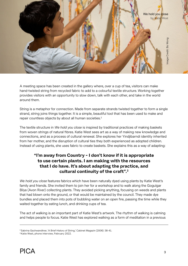

A meeting space has been created in the gallery where, over a cup of tea, visitors can make hand-twisted string from recycled fabric to add to a colourful textile structure. Working together provides visitors with an opportunity to slow down, talk with each other, and take in the world around them.

String is a metaphor for connection. Made from separate strands twisted together to form a single strand, string joins things together. It is a simple, beautiful tool that has been used to make and repair countless objects by about all human societies.<sup>2</sup>

The textile structure in *We hold you close* is inspired by traditional practices of making baskets from woven strings of natural fibres. Katie West sees art as a way of making new knowledge and connections, and as a process of cultural renewal. She explores her Yindjibarndi identity inherited from her mother, and the disruption of cultural ties they both experienced as adopted children. Instead of using plants, she uses fabric to create baskets. She explains this as a way of adapting:

### **"I'm away from Country - I don't know if it is appropriate to use certain plants. I am making with the resources that I do have. It's about adapting the practice, and cultural continuity of the craft".3**

*We hold you close* features fabrics which have been naturally dyed using plants by Katie West's family and friends. She invited them to join her for a workshop and to walk along the Gogulgar Bilya (Avon River) collecting plants. They avoided picking anything, focusing on weeds and plants that had blown onto the ground, or that would be maintained by the council. They made dye bundles and placed them into pots of bubbling water on an open fire, passing the time while they waited together by eating lunch, and drinking cups of tea.

The act of walking is an important part of Katie West's artwork. The rhythm of walking is calming and helps people to focus. Katie West has explored walking as a form of meditation in a previous

<sup>2</sup> Sabrina Gschwandtner, 'A Brief History of String,' Cabinet Magazin (2006): 38-41.

<sup>3</sup> Katie West, phone interview, February 2022.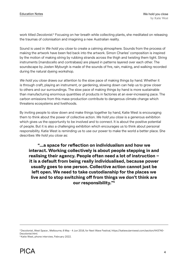work titled *Decolonist*.<sup>4</sup> Focusing on her breath while collecting plants, she meditated on releasing the traumas of colonisation and imagining a new Australian reality.

Sound is used in *We hold you close* to create a calming atmosphere. Sounds from the process of making the artwork have been fed back into the artwork. Simon Charles' composition is inspired by the motion of making string by rubbing strands across the thigh and twisting them tight. String instruments (mandocello and contrabass) are played in patterns layered over each other. The soundscape by Josten Myburgh is made of the sounds of fire, rain, making, and walking recorded during the natural dyeing workshop.

*We hold you close* draws our attention to the slow pace of making things by hand. Whether it is through craft, playing an instrument, or gardening, slowing down can help us to grow closer to others and our surroundings. The slow pace of making things by hand is more sustainable than manufacturing enormous quantities of products in factories at an ever-increasing pace. The carbon emissions from this mass-production contribute to dangerous climate change which threatens ecosystems and livelihoods.

By inviting people to slow down and make things together by hand, Katie West is encouraging them to think about the power of collective action. *We hold you close* is a generous exhibition which gives us the opportunity to be involved and to connect. It is about the positive potential of people. But it is also a challenging exhibition which encourages us to think about personal responsibility. Katie West is reminding us to use our power to make the world a better place. She describes *We hold you close* as:

**"...a space for reflection on individualism and how we interact. Working collectively is about people stepping in and realising their agency. People often need a lot of instruction – it is a default from being really individualised, because power usually goes to one person. Collective action cannot just be left open. We need to take custodianship for the places we live and to stop switching off from things we don't think are our responsibility."5**

<sup>4</sup> Decolonist, West Space , Melbourne, 6 May - 4 Jun 2016, for Next Wave Festival, https://katiewularniwest.com/section/443740- Decolonist.html.

<sup>5</sup> Katie West, phone interview, February 2022.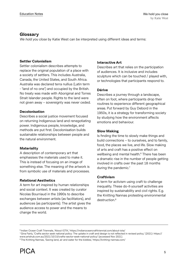#### **Glossary**

*We hold you close* by Katie West can be interpreted using different ideas and terms:

#### **Settler Colonialism**

Settler colonialism describes attempts to replace the original population of a place with a society of settlers. This includes Australia, Canada, the United States, and South Africa. Australia was declared terra nullius (Latin term - 'land of no one') and occupied by the British. No treaty was made with Aboriginal and Torres Strait Islander people. Rights to the land were not given away – sovereignty was never ceded.

#### **Decolonisation**

Describes a social justice movement focused on returning Indigenous land and renegotiating power. Indigenous people, knowledge, and methods are put first. Decolonisation builds sustainable relationships between people and the natural environment.

#### **Materiality**

A description of contemporary art that emphasises the materials used to make it. This is instead of focusing on an image of something else. The meaning of the artwork is from symbolic use of materials and processes.

#### **Relational Aesthetics**

A term for art inspired by human relationships and social context. It was created by curator Nicolas Bourriaud in the 1990s to describe exchanges between artists (as facilitators), and audiences (as participants). The artist gives the audience access to power and the means to change the world.

#### **Interactive Art**

Describes art that relies on the participation of audiences. It is inclusive and includes sculpture which can be touched / played with, or technologies that participants respond to.

#### **Dérive**

Describes a journey through a landscape, often on foot, where participants drop their routines to experience different geographical areas. Put forward by Guy Debord in the 1950s, it is a strategy for transforming society by studying how the environment affects emotions and behaviour.

#### **Slow Making**

Is finding the time to slowly make things and build connections – to ourselves, and to family, food, the places we live, and life. Slow making of arts and craft has a positive effect on wellbeing and mental health.<sup>6</sup> There has been a dramatic rise in the number of people getting involved in crafts over the past 18 months during the pandemic.<sup>7</sup>

#### **Craftivism**

A term for activism using craft to challenge inequality. These do-it-yourself activities are inspired by sustainability and civil rights. E.g. the Knitting Nannas protesting environmental destruction<sup>8</sup>

<sup>6</sup> Indian Ocean Craft Triennale, 'About IOTA,' https://indianoceancrafttriennial.com/about-iota/

<sup>7</sup> Gina Fairly, 'Crafts sector seek national policy: The uptake in craft and design is not reflected in revised policy,' (2021): https:// www.artshub.com.au/2021/10/15/crafts-sector-seek-national-policy/ (accessed Nov 2021).

<sup>8</sup> The Knitting Nannas, 'Saving land, air and water for the kiddies,' https://knitting-nannas.com/